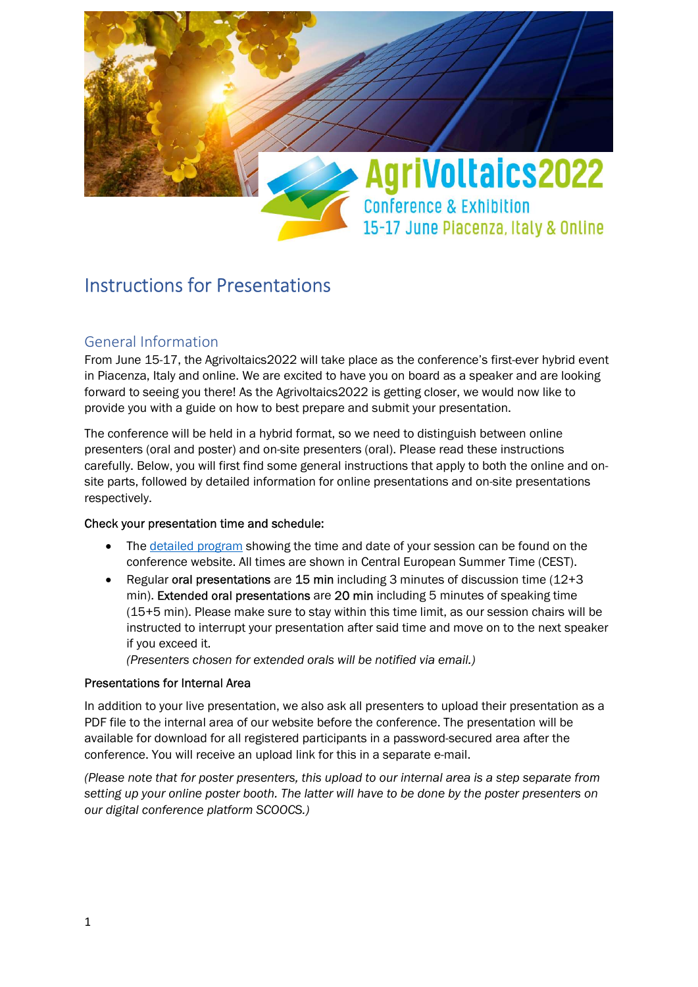

# Instructions for Presentations

# General Information

From June 15-17, the Agrivoltaics2022 will take place as the conference's first-ever hybrid event in Piacenza, Italy and online. We are excited to have you on board as a speaker and are looking forward to seeing you there! As the Agrivoltaics2022 is getting closer, we would now like to provide you with a guide on how to best prepare and submit your presentation.

The conference will be held in a hybrid format, so we need to distinguish between online presenters (oral and poster) and on-site presenters (oral). Please read these instructions carefully. Below, you will first find some general instructions that apply to both the online and onsite parts, followed by detailed information for online presentations and on-site presentations respectively.

# Check your presentation time and schedule:

- The detailed program showing the time and date of your session can be found on the conference website. All times are shown in Central European Summer Time (CEST).
- Regular oral presentations are 15 min including 3 minutes of discussion time  $(12+3)$ min). Extended oral presentations are 20 min including 5 minutes of speaking time (15+5 min). Please make sure to stay within this time limit, as our session chairs will be instructed to interrupt your presentation after said time and move on to the next speaker if you exceed it.

(Presenters chosen for extended orals will be notified via email.)

# Presentations for Internal Area

In addition to your live presentation, we also ask all presenters to upload their presentation as a PDF file to the internal area of our website before the conference. The presentation will be available for download for all registered participants in a password-secured area after the conference. You will receive an upload link for this in a separate e-mail.

(Please note that for poster presenters, this upload to our internal area is a step separate from setting up your online poster booth. The latter will have to be done by the poster presenters on our digital conference platform SCOOCS.)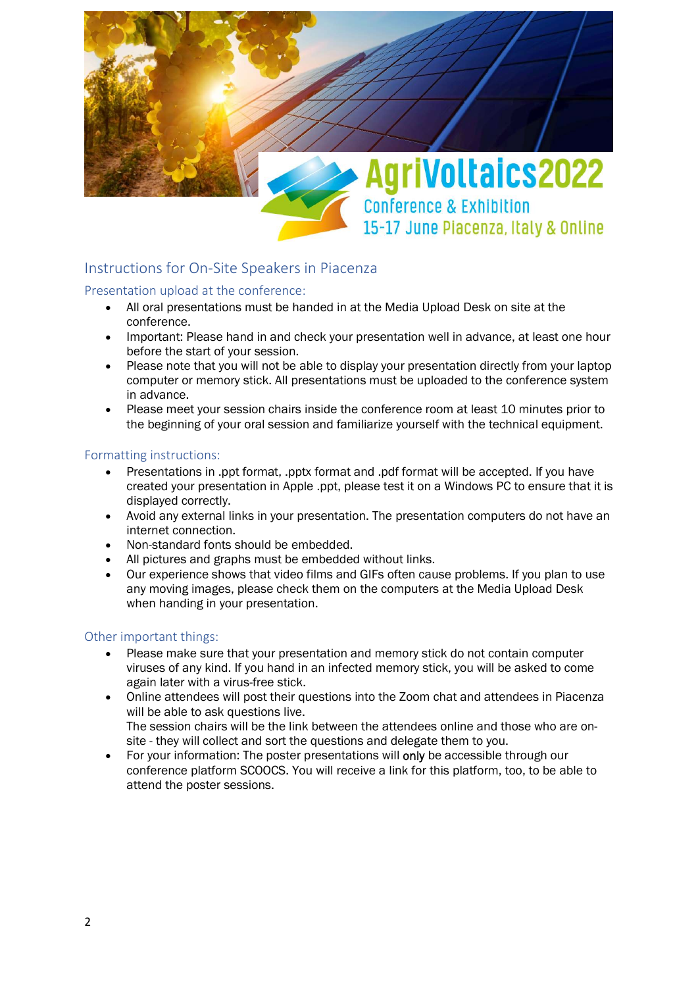

# Instructions for On-Site Speakers in Piacenza

### Presentation upload at the conference:

- All oral presentations must be handed in at the Media Upload Desk on site at the conference.
- Important: Please hand in and check your presentation well in advance, at least one hour before the start of your session.
- Please note that you will not be able to display your presentation directly from your laptop computer or memory stick. All presentations must be uploaded to the conference system in advance.
- Please meet your session chairs inside the conference room at least 10 minutes prior to the beginning of your oral session and familiarize yourself with the technical equipment.

### Formatting instructions:

- Presentations in .ppt format, .pptx format and .pdf format will be accepted. If you have created your presentation in Apple .ppt, please test it on a Windows PC to ensure that it is displayed correctly.
- Avoid any external links in your presentation. The presentation computers do not have an internet connection.
- Non-standard fonts should be embedded.
- All pictures and graphs must be embedded without links.
- Our experience shows that video films and GIFs often cause problems. If you plan to use any moving images, please check them on the computers at the Media Upload Desk when handing in your presentation.

### Other important things:

- Please make sure that your presentation and memory stick do not contain computer viruses of any kind. If you hand in an infected memory stick, you will be asked to come again later with a virus-free stick.
- Online attendees will post their questions into the Zoom chat and attendees in Piacenza will be able to ask questions live. The session chairs will be the link between the attendees online and those who are onsite - they will collect and sort the questions and delegate them to you.
- For your information: The poster presentations will only be accessible through our conference platform SCOOCS. You will receive a link for this platform, too, to be able to attend the poster sessions.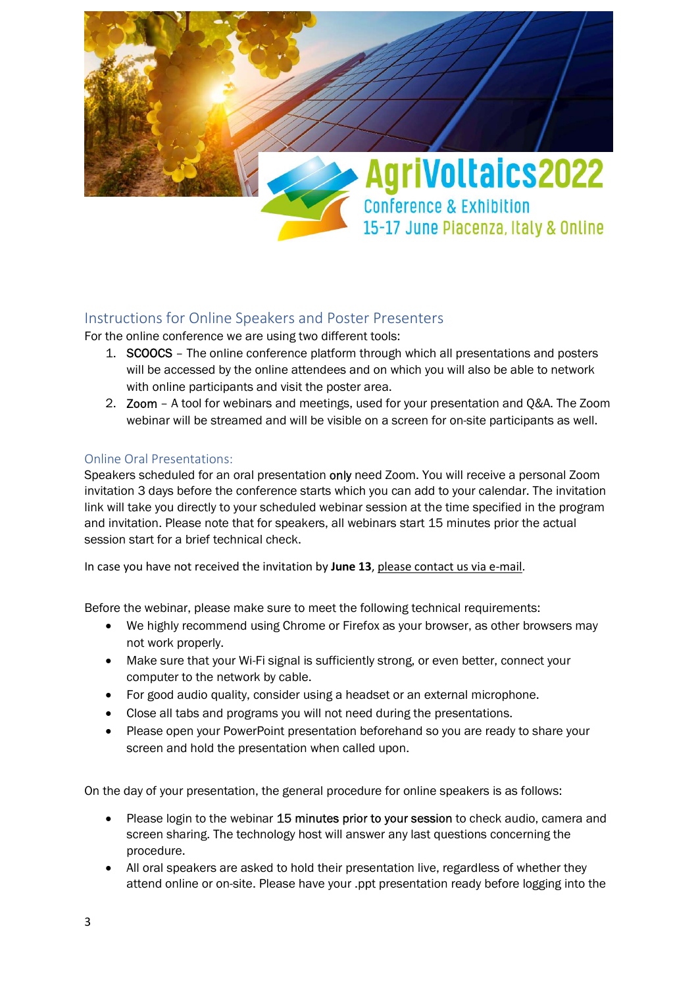

# Instructions for Online Speakers and Poster Presenters

For the online conference we are using two different tools:

- 1. SCOOCS The online conference platform through which all presentations and posters will be accessed by the online attendees and on which you will also be able to network with online participants and visit the poster area.
- 2. Zoom A tool for webinars and meetings, used for your presentation and Q&A. The Zoom webinar will be streamed and will be visible on a screen for on-site participants as well.

# Online Oral Presentations:

Speakers scheduled for an oral presentation only need Zoom. You will receive a personal Zoom invitation 3 days before the conference starts which you can add to your calendar. The invitation link will take you directly to your scheduled webinar session at the time specified in the program and invitation. Please note that for speakers, all webinars start 15 minutes prior the actual session start for a brief technical check.

In case you have not received the invitation by June 13, please contact us via e-mail.

Before the webinar, please make sure to meet the following technical requirements:

- We highly recommend using Chrome or Firefox as your browser, as other browsers may not work properly.
- Make sure that your Wi-Fi signal is sufficiently strong, or even better, connect your computer to the network by cable.
- For good audio quality, consider using a headset or an external microphone.
- Close all tabs and programs you will not need during the presentations.
- Please open your PowerPoint presentation beforehand so you are ready to share your screen and hold the presentation when called upon.

On the day of your presentation, the general procedure for online speakers is as follows:

- Please login to the webinar 15 minutes prior to your session to check audio, camera and screen sharing. The technology host will answer any last questions concerning the procedure.
- All oral speakers are asked to hold their presentation live, regardless of whether they attend online or on-site. Please have your .ppt presentation ready before logging into the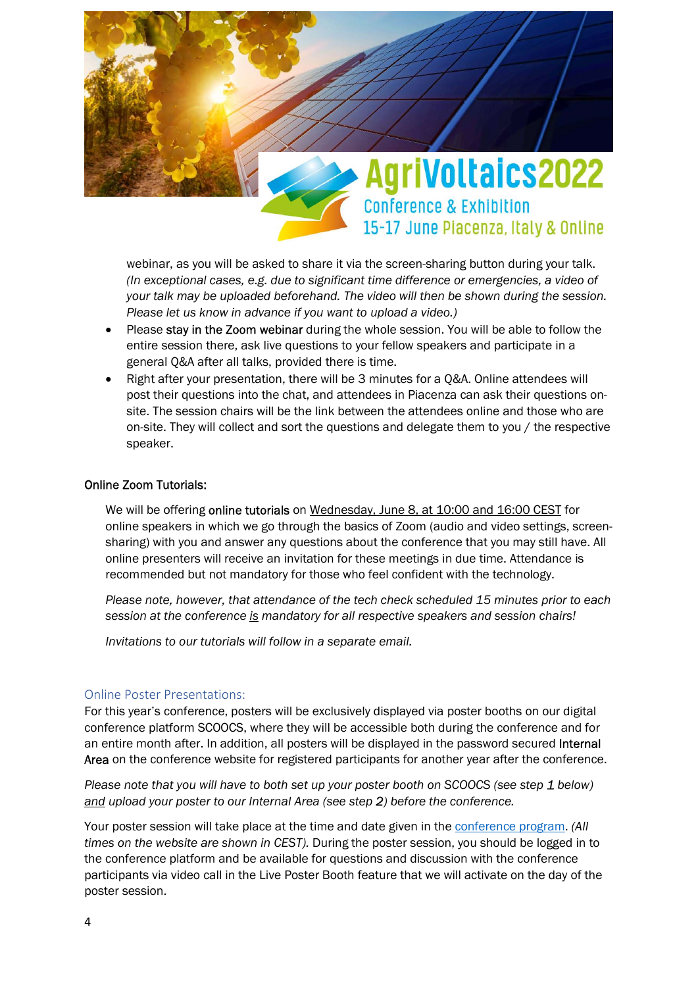

webinar, as you will be asked to share it via the screen-sharing button during your talk. (In exceptional cases, e.g. due to significant time difference or emergencies, a video of your talk may be uploaded beforehand. The video will then be shown during the session. Please let us know in advance if you want to upload a video.)

- Please stay in the Zoom webinar during the whole session. You will be able to follow the entire session there, ask live questions to your fellow speakers and participate in a general Q&A after all talks, provided there is time.
- Right after your presentation, there will be 3 minutes for a Q&A. Online attendees will post their questions into the chat, and attendees in Piacenza can ask their questions onsite. The session chairs will be the link between the attendees online and those who are on-site. They will collect and sort the questions and delegate them to you / the respective speaker.

### Online Zoom Tutorials:

We will be offering online tutorials on Wednesday, June 8, at 10:00 and 16:00 CEST for online speakers in which we go through the basics of Zoom (audio and video settings, screensharing) with you and answer any questions about the conference that you may still have. All online presenters will receive an invitation for these meetings in due time. Attendance is recommended but not mandatory for those who feel confident with the technology.

Please note, however, that attendance of the tech check scheduled 15 minutes prior to each session at the conference is mandatory for all respective speakers and session chairs!

Invitations to our tutorials will follow in a separate email.

### Online Poster Presentations:

For this year's conference, posters will be exclusively displayed via poster booths on our digital conference platform SCOOCS, where they will be accessible both during the conference and for an entire month after. In addition, all posters will be displayed in the password secured Internal Area on the conference website for registered participants for another year after the conference.

Please note that you will have to both set up your poster booth on SCOOCS (see step 1 below) and upload your poster to our Internal Area (see step 2) before the conference.

Your poster session will take place at the time and date given in the conference program. (All times on the website are shown in CEST). During the poster session, you should be logged in to the conference platform and be available for questions and discussion with the conference participants via video call in the Live Poster Booth feature that we will activate on the day of the poster session.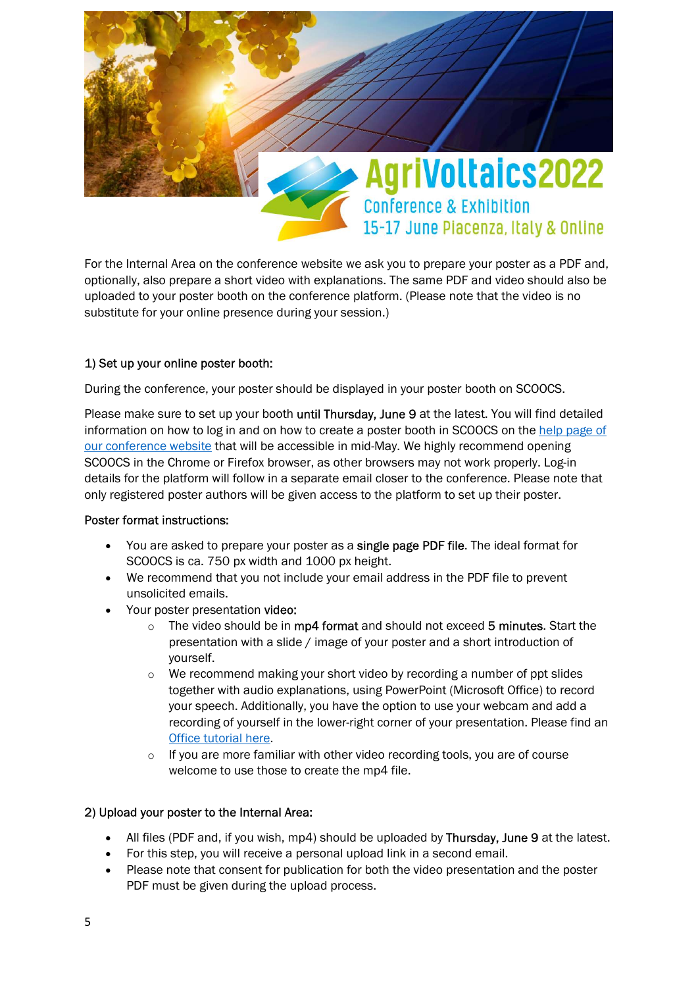

For the Internal Area on the conference website we ask you to prepare your poster as a PDF and, optionally, also prepare a short video with explanations. The same PDF and video should also be uploaded to your poster booth on the conference platform. (Please note that the video is no substitute for your online presence during your session.)

# 1) Set up your online poster booth:

During the conference, your poster should be displayed in your poster booth on SCOOCS.

Please make sure to set up your booth until Thursday, June 9 at the latest. You will find detailed information on how to log in and on how to create a poster booth in SCOOCS on the help page of our conference website that will be accessible in mid-May. We highly recommend opening SCOOCS in the Chrome or Firefox browser, as other browsers may not work properly. Log-in details for the platform will follow in a separate email closer to the conference. Please note that only registered poster authors will be given access to the platform to set up their poster.

### Poster format instructions:

- You are asked to prepare your poster as a single page PDF file. The ideal format for SCOOCS is ca. 750 px width and 1000 px height.
- We recommend that you not include your email address in the PDF file to prevent unsolicited emails.
- Your poster presentation video:
	- $\circ$  The video should be in mp4 format and should not exceed 5 minutes. Start the presentation with a slide / image of your poster and a short introduction of yourself.
	- o We recommend making your short video by recording a number of ppt slides together with audio explanations, using PowerPoint (Microsoft Office) to record your speech. Additionally, you have the option to use your webcam and add a recording of yourself in the lower-right corner of your presentation. Please find an Office tutorial here.
	- o If you are more familiar with other video recording tools, you are of course welcome to use those to create the mp4 file.

# 2) Upload your poster to the Internal Area:

- All files (PDF and, if you wish, mp4) should be uploaded by Thursday, June 9 at the latest.
- For this step, you will receive a personal upload link in a second email.
- Please note that consent for publication for both the video presentation and the poster PDF must be given during the upload process.